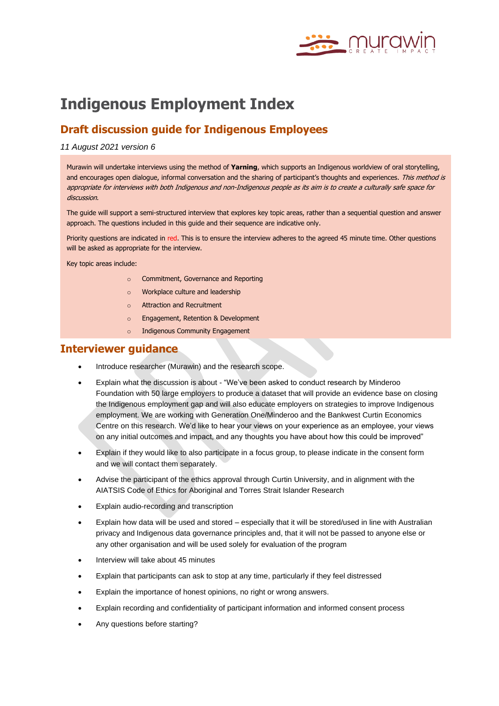

# **Indigenous Employment Index**

# **Draft discussion guide for Indigenous Employees**

#### *11 August 2021 version 6*

Murawin will undertake interviews using the method of **Yarning**, which supports an Indigenous worldview of oral storytelling, and encourages open dialogue, informal conversation and the sharing of participant's thoughts and experiences. This method is appropriate for interviews with both Indigenous and non-Indigenous people as its aim is to create a culturally safe space for discussion.

The guide will support a semi-structured interview that explores key topic areas, rather than a sequential question and answer approach. The questions included in this guide and their sequence are indicative only.

Priority questions are indicated in red. This is to ensure the interview adheres to the agreed 45 minute time. Other questions will be asked as appropriate for the interview.

Key topic areas include:

- o Commitment, Governance and Reporting
- o Workplace culture and leadership
- o Attraction and Recruitment
- o Engagement, Retention & Development
- o Indigenous Community Engagement

## **Interviewer guidance**

- Introduce researcher (Murawin) and the research scope.
- Explain what the discussion is about "We've been asked to conduct research by Minderoo Foundation with 50 large employers to produce a dataset that will provide an evidence base on closing the Indigenous employment gap and will also educate employers on strategies to improve Indigenous employment. We are working with Generation One/Minderoo and the Bankwest Curtin Economics Centre on this research. We'd like to hear your views on your experience as an employee, your views on any initial outcomes and impact, and any thoughts you have about how this could be improved"
- Explain if they would like to also participate in a focus group, to please indicate in the consent form and we will contact them separately.
- Advise the participant of the ethics approval through Curtin University, and in alignment with the AIATSIS Code of Ethics for Aboriginal and Torres Strait Islander Research
- Explain audio-recording and transcription
- Explain how data will be used and stored especially that it will be stored/used in line with Australian privacy and Indigenous data governance principles and, that it will not be passed to anyone else or any other organisation and will be used solely for evaluation of the program
- Interview will take about 45 minutes
- Explain that participants can ask to stop at any time, particularly if they feel distressed
- Explain the importance of honest opinions, no right or wrong answers.
- Explain recording and confidentiality of participant information and informed consent process
- Any questions before starting?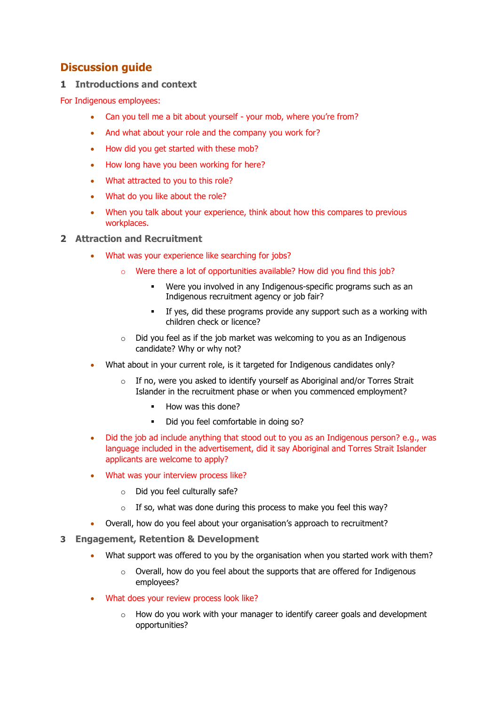# **Discussion guide**

## **1 Introductions and context**

For Indigenous employees:

- Can you tell me a bit about yourself your mob, where you're from?
- And what about your role and the company you work for?
- How did you get started with these mob?
- How long have you been working for here?
- What attracted to you to this role?
- What do you like about the role?
- When you talk about your experience, think about how this compares to previous workplaces.
- **2 Attraction and Recruitment**
	- What was your experience like searching for jobs?
		- o Were there a lot of opportunities available? How did you find this job?
			- Were you involved in any Indigenous-specific programs such as an Indigenous recruitment agency or job fair?
			- If yes, did these programs provide any support such as a working with children check or licence?
		- o Did you feel as if the job market was welcoming to you as an Indigenous candidate? Why or why not?
	- What about in your current role, is it targeted for Indigenous candidates only?
		- o If no, were you asked to identify yourself as Aboriginal and/or Torres Strait Islander in the recruitment phase or when you commenced employment?
			- How was this done?
			- Did you feel comfortable in doing so?
	- Did the job ad include anything that stood out to you as an Indigenous person? e.g., was language included in the advertisement, did it say Aboriginal and Torres Strait Islander applicants are welcome to apply?
	- What was your interview process like?
		- o Did you feel culturally safe?
		- $\circ$  If so, what was done during this process to make you feel this way?
	- Overall, how do you feel about your organisation's approach to recruitment?
- **3 Engagement, Retention & Development** 
	- What support was offered to you by the organisation when you started work with them?
		- o Overall, how do you feel about the supports that are offered for Indigenous employees?
	- What does your review process look like?
		- $\circ$  How do you work with your manager to identify career goals and development opportunities?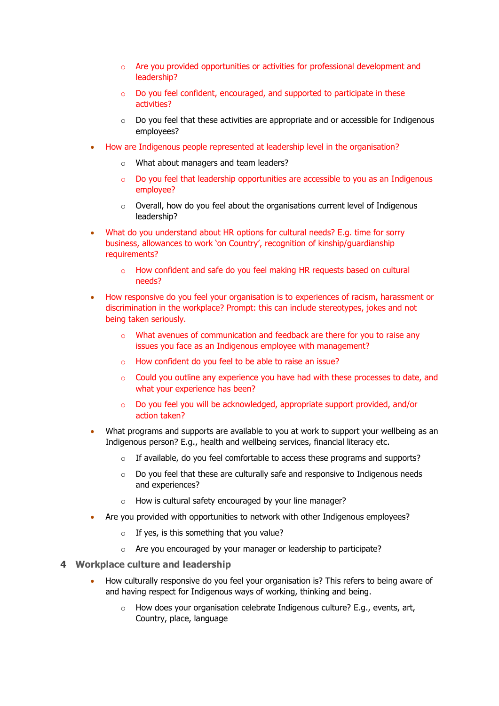- o Are you provided opportunities or activities for professional development and leadership?
- o Do you feel confident, encouraged, and supported to participate in these activities?
- $\circ$  Do you feel that these activities are appropriate and or accessible for Indigenous employees?
- How are Indigenous people represented at leadership level in the organisation?
	- o What about managers and team leaders?
	- o Do you feel that leadership opportunities are accessible to you as an Indigenous employee?
	- o Overall, how do you feel about the organisations current level of Indigenous leadership?
- What do you understand about HR options for cultural needs? E.g. time for sorry business, allowances to work 'on Country', recognition of kinship/guardianship requirements?
	- o How confident and safe do you feel making HR requests based on cultural needs?
- How responsive do you feel your organisation is to experiences of racism, harassment or discrimination in the workplace? Prompt: this can include stereotypes, jokes and not being taken seriously.
	- o What avenues of communication and feedback are there for you to raise any issues you face as an Indigenous employee with management?
	- o How confident do you feel to be able to raise an issue?
	- $\circ$  Could you outline any experience you have had with these processes to date, and what your experience has been?
	- o Do you feel you will be acknowledged, appropriate support provided, and/or action taken?
- What programs and supports are available to you at work to support your wellbeing as an Indigenous person? E.g., health and wellbeing services, financial literacy etc.
	- $\circ$  If available, do you feel comfortable to access these programs and supports?
	- o Do you feel that these are culturally safe and responsive to Indigenous needs and experiences?
	- o How is cultural safety encouraged by your line manager?
- Are you provided with opportunities to network with other Indigenous employees?
	- $\circ$  If yes, is this something that you value?
	- o Are you encouraged by your manager or leadership to participate?

#### **4 Workplace culture and leadership**

- How culturally responsive do you feel your organisation is? This refers to being aware of and having respect for Indigenous ways of working, thinking and being.
	- o How does your organisation celebrate Indigenous culture? E.g., events, art, Country, place, language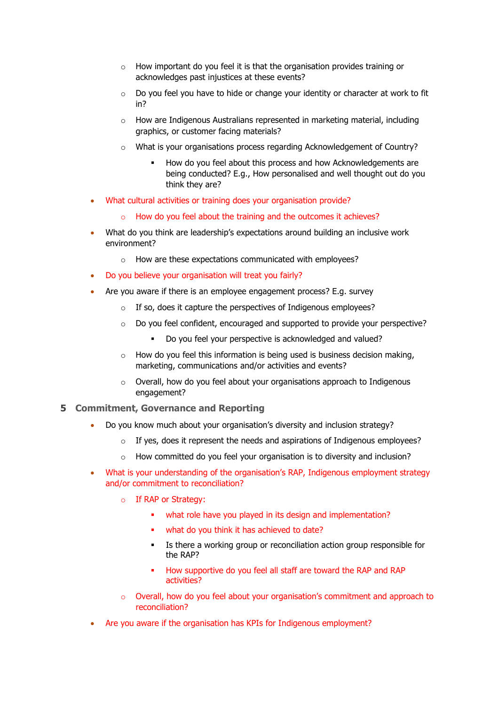- o How important do you feel it is that the organisation provides training or acknowledges past injustices at these events?
- o Do you feel you have to hide or change your identity or character at work to fit in?
- o How are Indigenous Australians represented in marketing material, including graphics, or customer facing materials?
- o What is your organisations process regarding Acknowledgement of Country?
	- How do you feel about this process and how Acknowledgements are being conducted? E.g., How personalised and well thought out do you think they are?
- What cultural activities or training does your organisation provide?
	- o How do you feel about the training and the outcomes it achieves?
- What do you think are leadership's expectations around building an inclusive work environment?
	- o How are these expectations communicated with employees?
- Do you believe your organisation will treat you fairly?
- Are you aware if there is an employee engagement process? E.g. survey
	- $\circ$  If so, does it capture the perspectives of Indigenous employees?
	- o Do you feel confident, encouraged and supported to provide your perspective?
		- Do you feel your perspective is acknowledged and valued?
	- $\circ$  How do you feel this information is being used is business decision making, marketing, communications and/or activities and events?
	- o Overall, how do you feel about your organisations approach to Indigenous engagement?
- **5 Commitment, Governance and Reporting**
	- Do you know much about your organisation's diversity and inclusion strategy?
		- o If yes, does it represent the needs and aspirations of Indigenous employees?
		- o How committed do you feel your organisation is to diversity and inclusion?
	- What is your understanding of the organisation's RAP, Indigenous employment strategy and/or commitment to reconciliation?
		- o If RAP or Strategy:
			- what role have you played in its design and implementation?
			- what do you think it has achieved to date?
			- Is there a working group or reconciliation action group responsible for the RAP?
			- How supportive do you feel all staff are toward the RAP and RAP activities?
		- o Overall, how do you feel about your organisation's commitment and approach to reconciliation?
	- Are you aware if the organisation has KPIs for Indigenous employment?